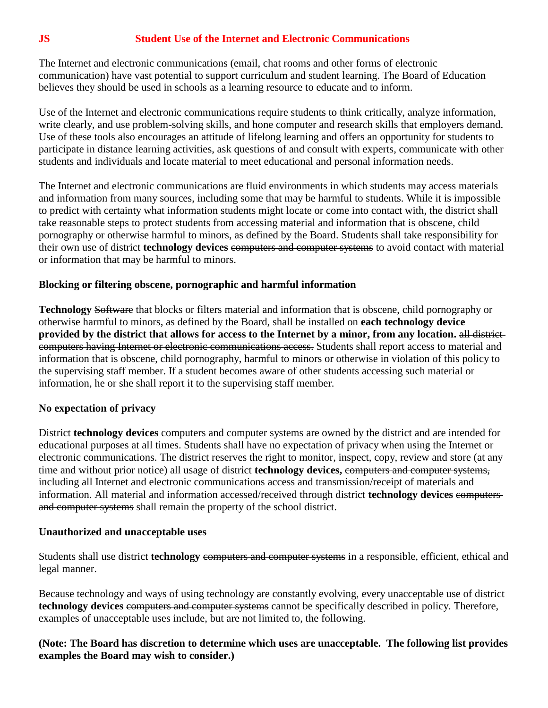## **JS Student Use of the Internet and Electronic Communications**

The Internet and electronic communications (email, chat rooms and other forms of electronic communication) have vast potential to support curriculum and student learning. The Board of Education believes they should be used in schools as a learning resource to educate and to inform.

Use of the Internet and electronic communications require students to think critically, analyze information, write clearly, and use problem-solving skills, and hone computer and research skills that employers demand. Use of these tools also encourages an attitude of lifelong learning and offers an opportunity for students to participate in distance learning activities, ask questions of and consult with experts, communicate with other students and individuals and locate material to meet educational and personal information needs.

The Internet and electronic communications are fluid environments in which students may access materials and information from many sources, including some that may be harmful to students. While it is impossible to predict with certainty what information students might locate or come into contact with, the district shall take reasonable steps to protect students from accessing material and information that is obscene, child pornography or otherwise harmful to minors, as defined by the Board. Students shall take responsibility for their own use of district **technology devices** computers and computer systems to avoid contact with material or information that may be harmful to minors.

### **Blocking or filtering obscene, pornographic and harmful information**

**Technology** Software that blocks or filters material and information that is obscene, child pornography or otherwise harmful to minors, as defined by the Board, shall be installed on **each technology device provided by the district that allows for access to the Internet by a minor, from any location.** all district computers having Internet or electronic communications access. Students shall report access to material and information that is obscene, child pornography, harmful to minors or otherwise in violation of this policy to the supervising staff member. If a student becomes aware of other students accessing such material or information, he or she shall report it to the supervising staff member.

## **No expectation of privacy**

District **technology devices** computers and computer systems are owned by the district and are intended for educational purposes at all times. Students shall have no expectation of privacy when using the Internet or electronic communications. The district reserves the right to monitor, inspect, copy, review and store (at any time and without prior notice) all usage of district **technology devices,** computers and computer systems, including all Internet and electronic communications access and transmission/receipt of materials and information. All material and information accessed/received through district **technology devices** computers and computer systems shall remain the property of the school district.

#### **Unauthorized and unacceptable uses**

Students shall use district **technology** computers and computer systems in a responsible, efficient, ethical and legal manner.

Because technology and ways of using technology are constantly evolving, every unacceptable use of district **technology devices** computers and computer systems cannot be specifically described in policy. Therefore, examples of unacceptable uses include, but are not limited to, the following.

### **(Note: The Board has discretion to determine which uses are unacceptable. The following list provides examples the Board may wish to consider.)**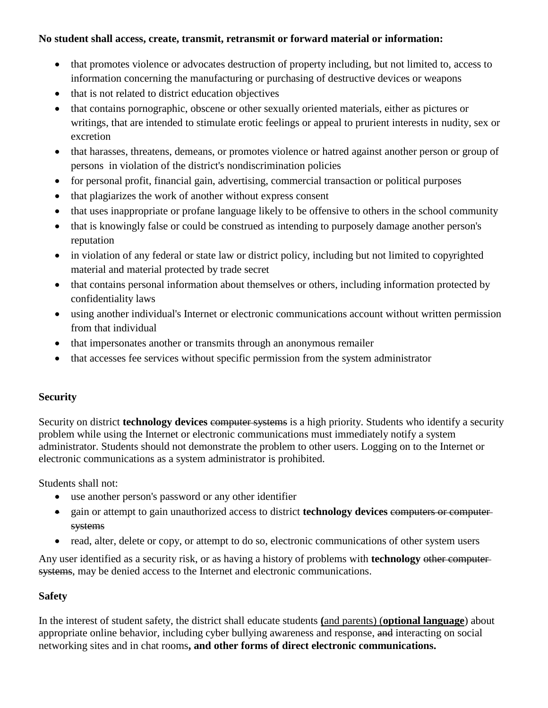# **No student shall access, create, transmit, retransmit or forward material or information:**

- that promotes violence or advocates destruction of property including, but not limited to, access to information concerning the manufacturing or purchasing of destructive devices or weapons
- that is not related to district education objectives
- that contains pornographic, obscene or other sexually oriented materials, either as pictures or writings, that are intended to stimulate erotic feelings or appeal to prurient interests in nudity, sex or excretion
- that harasses, threatens, demeans, or promotes violence or hatred against another person or group of persons in violation of the district's nondiscrimination policies
- for personal profit, financial gain, advertising, commercial transaction or political purposes
- that plagiarizes the work of another without express consent
- that uses inappropriate or profane language likely to be offensive to others in the school community
- that is knowingly false or could be construed as intending to purposely damage another person's reputation
- in violation of any federal or state law or district policy, including but not limited to copyrighted material and material protected by trade secret
- that contains personal information about themselves or others, including information protected by confidentiality laws
- using another individual's Internet or electronic communications account without written permission from that individual
- that impersonates another or transmits through an anonymous remailer
- that accesses fee services without specific permission from the system administrator

# **Security**

Security on district **technology devices** computer systems is a high priority. Students who identify a security problem while using the Internet or electronic communications must immediately notify a system administrator. Students should not demonstrate the problem to other users. Logging on to the Internet or electronic communications as a system administrator is prohibited.

Students shall not:

- use another person's password or any other identifier
- <sup>•</sup> gain or attempt to gain unauthorized access to district **technology devices** computers or computersystems
- read, alter, delete or copy, or attempt to do so, electronic communications of other system users

Any user identified as a security risk, or as having a history of problems with **technology** other computer systems, may be denied access to the Internet and electronic communications.

## **Safety**

In the interest of student safety, the district shall educate students **(**and parents) (**optional language**) about appropriate online behavior, including cyber bullying awareness and response, and interacting on social networking sites and in chat rooms**, and other forms of direct electronic communications.**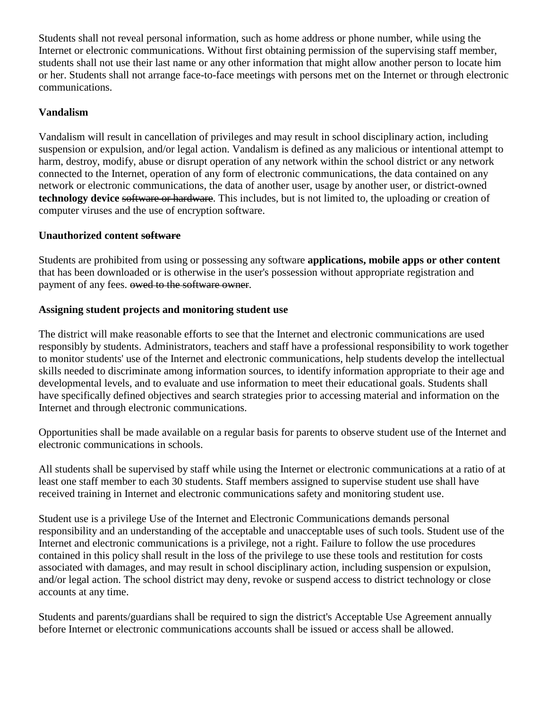Students shall not reveal personal information, such as home address or phone number, while using the Internet or electronic communications. Without first obtaining permission of the supervising staff member, students shall not use their last name or any other information that might allow another person to locate him or her. Students shall not arrange face-to-face meetings with persons met on the Internet or through electronic communications.

# **Vandalism**

Vandalism will result in cancellation of privileges and may result in school disciplinary action, including suspension or expulsion, and/or legal action. Vandalism is defined as any malicious or intentional attempt to harm, destroy, modify, abuse or disrupt operation of any network within the school district or any network connected to the Internet, operation of any form of electronic communications, the data contained on any network or electronic communications, the data of another user, usage by another user, or district-owned **technology device** software or hardware. This includes, but is not limited to, the uploading or creation of computer viruses and the use of encryption software.

## **Unauthorized content software**

Students are prohibited from using or possessing any software **applications, mobile apps or other content**  that has been downloaded or is otherwise in the user's possession without appropriate registration and payment of any fees. owed to the software owner.

## **Assigning student projects and monitoring student use**

The district will make reasonable efforts to see that the Internet and electronic communications are used responsibly by students. Administrators, teachers and staff have a professional responsibility to work together to monitor students' use of the Internet and electronic communications, help students develop the intellectual skills needed to discriminate among information sources, to identify information appropriate to their age and developmental levels, and to evaluate and use information to meet their educational goals. Students shall have specifically defined objectives and search strategies prior to accessing material and information on the Internet and through electronic communications.

Opportunities shall be made available on a regular basis for parents to observe student use of the Internet and electronic communications in schools.

All students shall be supervised by staff while using the Internet or electronic communications at a ratio of at least one staff member to each 30 students. Staff members assigned to supervise student use shall have received training in Internet and electronic communications safety and monitoring student use.

Student use is a privilege Use of the Internet and Electronic Communications demands personal responsibility and an understanding of the acceptable and unacceptable uses of such tools. Student use of the Internet and electronic communications is a privilege, not a right. Failure to follow the use procedures contained in this policy shall result in the loss of the privilege to use these tools and restitution for costs associated with damages, and may result in school disciplinary action, including suspension or expulsion, and/or legal action. The school district may deny, revoke or suspend access to district technology or close accounts at any time.

Students and parents/guardians shall be required to sign the district's Acceptable Use Agreement annually before Internet or electronic communications accounts shall be issued or access shall be allowed.